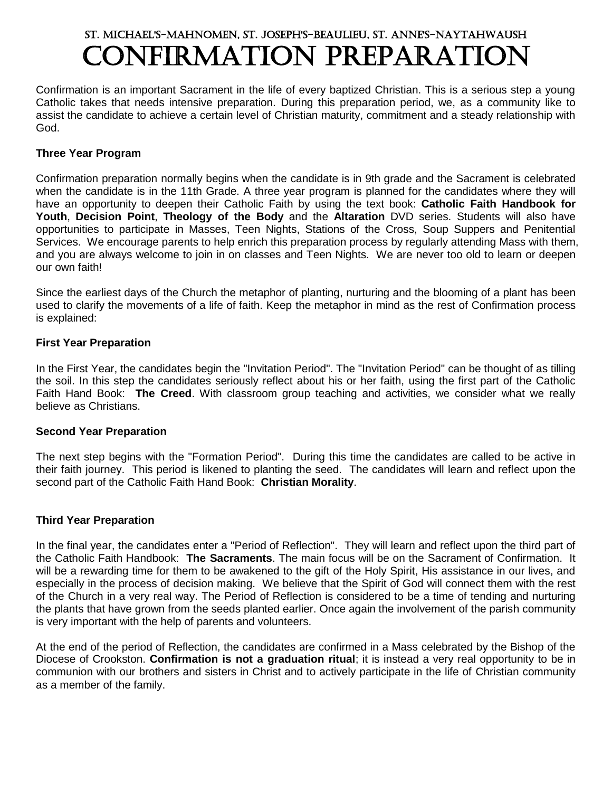# St. Michael's-Mahnomen, St. Joseph's-Beaulieu, St. Anne's-Naytahwaush Confirmation Preparation

Confirmation is an important Sacrament in the life of every baptized Christian. This is a serious step a young Catholic takes that needs intensive preparation. During this preparation period, we, as a community like to assist the candidate to achieve a certain level of Christian maturity, commitment and a steady relationship with God.

#### **Three Year Program**

Confirmation preparation normally begins when the candidate is in 9th grade and the Sacrament is celebrated when the candidate is in the 11th Grade. A three year program is planned for the candidates where they will have an opportunity to deepen their Catholic Faith by using the text book: **Catholic Faith Handbook for Youth**, **Decision Point**, **Theology of the Body** and the **Altaration** DVD series. Students will also have opportunities to participate in Masses, Teen Nights, Stations of the Cross, Soup Suppers and Penitential Services. We encourage parents to help enrich this preparation process by regularly attending Mass with them, and you are always welcome to join in on classes and Teen Nights. We are never too old to learn or deepen our own faith!

Since the earliest days of the Church the metaphor of planting, nurturing and the blooming of a plant has been used to clarify the movements of a life of faith. Keep the metaphor in mind as the rest of Confirmation process is explained:

#### **First Year Preparation**

In the First Year, the candidates begin the "Invitation Period". The "Invitation Period" can be thought of as tilling the soil. In this step the candidates seriously reflect about his or her faith, using the first part of the Catholic Faith Hand Book: **The Creed**. With classroom group teaching and activities, we consider what we really believe as Christians.

#### **Second Year Preparation**

The next step begins with the "Formation Period". During this time the candidates are called to be active in their faith journey. This period is likened to planting the seed. The candidates will learn and reflect upon the second part of the Catholic Faith Hand Book: **Christian Morality**.

#### **Third Year Preparation**

In the final year, the candidates enter a "Period of Reflection". They will learn and reflect upon the third part of the Catholic Faith Handbook: **The Sacraments**. The main focus will be on the Sacrament of Confirmation. It will be a rewarding time for them to be awakened to the gift of the Holy Spirit, His assistance in our lives, and especially in the process of decision making. We believe that the Spirit of God will connect them with the rest of the Church in a very real way. The Period of Reflection is considered to be a time of tending and nurturing the plants that have grown from the seeds planted earlier. Once again the involvement of the parish community is very important with the help of parents and volunteers.

At the end of the period of Reflection, the candidates are confirmed in a Mass celebrated by the Bishop of the Diocese of Crookston. **Confirmation is not a graduation ritual**; it is instead a very real opportunity to be in communion with our brothers and sisters in Christ and to actively participate in the life of Christian community as a member of the family.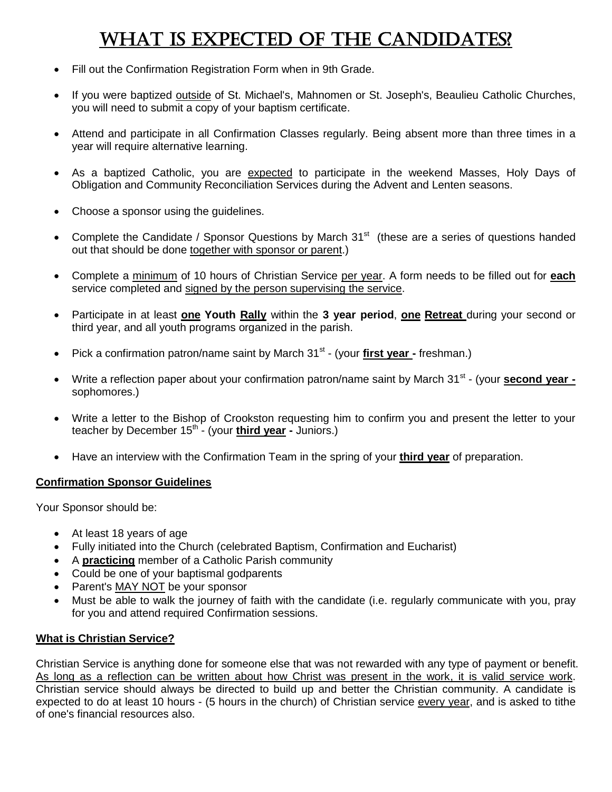# WHAT IS EXPECTED OF THE CANDIDATES?

- Fill out the Confirmation Registration Form when in 9th Grade.
- If you were baptized outside of St. Michael's, Mahnomen or St. Joseph's, Beaulieu Catholic Churches, you will need to submit a copy of your baptism certificate.
- Attend and participate in all Confirmation Classes regularly. Being absent more than three times in a year will require alternative learning.
- As a baptized Catholic, you are expected to participate in the weekend Masses, Holy Days of Obligation and Community Reconciliation Services during the Advent and Lenten seasons.
- Choose a sponsor using the guidelines.
- Complete the Candidate / Sponsor Questions by March  $31<sup>st</sup>$  (these are a series of questions handed out that should be done together with sponsor or parent.)
- Complete a minimum of 10 hours of Christian Service per year. A form needs to be filled out for **each** service completed and signed by the person supervising the service.
- Participate in at least **one Youth Rally** within the **3 year period**, **one Retreat** during your second or third year, and all youth programs organized in the parish.
- Pick a confirmation patron/name saint by March 31<sup>st</sup> (your *first year* freshman.)
- Write a reflection paper about your confirmation patron/name saint by March 31<sup>st</sup> (your **second year** sophomores.)
- Write a letter to the Bishop of Crookston requesting him to confirm you and present the letter to your teacher by December 15<sup>th</sup> - (your *third year* - Juniors.)
- Have an interview with the Confirmation Team in the spring of your **third year** of preparation.

#### **Confirmation Sponsor Guidelines**

Your Sponsor should be:

- At least 18 years of age
- Fully initiated into the Church (celebrated Baptism, Confirmation and Eucharist)
- A **practicing** member of a Catholic Parish community
- Could be one of your baptismal godparents
- Parent's MAY NOT be your sponsor
- Must be able to walk the journey of faith with the candidate (i.e. regularly communicate with you, pray for you and attend required Confirmation sessions.

#### **What is Christian Service?**

Christian Service is anything done for someone else that was not rewarded with any type of payment or benefit. As long as a reflection can be written about how Christ was present in the work, it is valid service work. Christian service should always be directed to build up and better the Christian community. A candidate is expected to do at least 10 hours - (5 hours in the church) of Christian service every year, and is asked to tithe of one's financial resources also.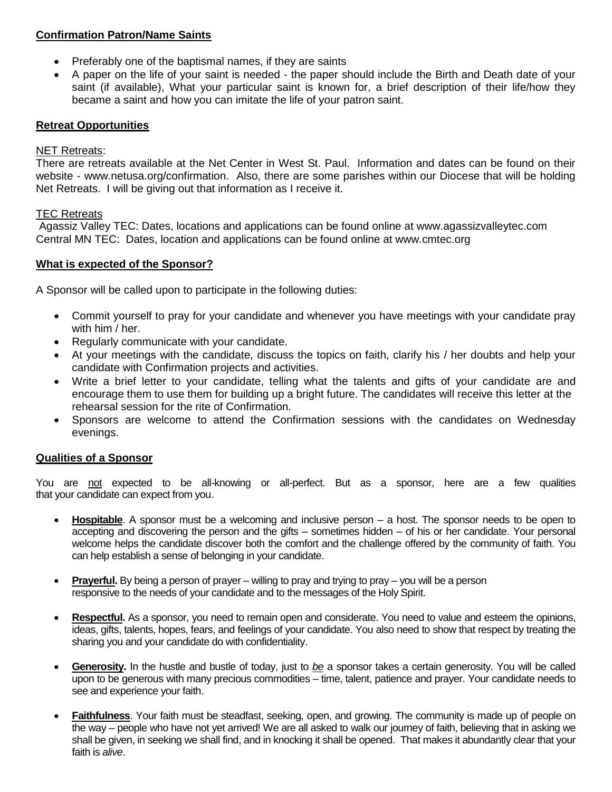#### **Confirmation Patron/Name Saints**

- Preferably one of the baptismal names, if they are saints
- A paper on the life of your saint is needed the paper should include the Birth and Death date of your saint (if available), What your particular saint is known for, a brief description of their life/how they became a saint and how you can imitate the life of your patron saint.

#### **Retreat Opportunities**

#### NET Retreats:

There are retreats available at the Net Center in West St. Paul. Information and dates can be found on their website - www.netusa.org/confirmation. Also, there are some parishes within our Diocese that will be holding Net Retreats. I will be giving out that information as I receive it.

#### TEC Retreats

Agassiz Valley TEC: Dates, locations and applications can be found online at www.agassizvalleytec.com Central MN TEC: Dates, location and applications can be found online at www.cmtec.org

#### **What is expected of the Sponsor?**

A Sponsor will be called upon to participate in the following duties:

- Commit yourself to pray for your candidate and whenever you have meetings with your candidate pray with him / her.
- Regularly communicate with your candidate.
- At your meetings with the candidate, discuss the topics on faith, clarify his / her doubts and help your candidate with Confirmation projects and activities.
- Write a brief letter to your candidate, telling what the talents and gifts of your candidate are and encourage them to use them for building up a bright future. The candidates will receive this letter at the rehearsal session for the rite of Confirmation.
- Sponsors are welcome to attend the Confirmation sessions with the candidates on Wednesday evenings.

### **Qualities of a Sponsor**

You are not expected to be all-knowing or all-perfect. But as a sponsor, here are a few qualities that your candidate can expect from you.

- **Hospitable**. A sponsor must be a welcoming and inclusive person a host. The sponsor needs to be open to accepting and discovering the person and the gifts – sometimes hidden – of his or her candidate. Your personal welcome helps the candidate discover both the comfort and the challenge offered by the community of faith. You can help establish a sense of belonging in your candidate.
- **Prayerful.** By being a person of prayer willing to pray and trying to pray you will be a person responsive to the needs of your candidate and to the messages of the Holy Spirit.
- **Respectful.** As a sponsor, you need to remain open and considerate. You need to value and esteem the opinions, ideas, gifts, talents, hopes, fears, and feelings of your candidate. You also need to show that respect by treating the sharing you and your candidate do with confidentiality.
- **Generosity.** In the hustle and bustle of today, just to *be* a sponsor takes a certain generosity. You will be called upon to be generous with many precious commodities – time, talent, patience and prayer. Your candidate needs to see and experience your faith.
- **Faithfulness**. Your faith must be steadfast, seeking, open, and growing. The community is made up of people on the way – people who have not yet arrived! We are all asked to walk our journey of faith, believing that in asking we shall be given, in seeking we shall find, and in knocking it shall be opened. That makes it abundantly clear that your faith is *alive*.